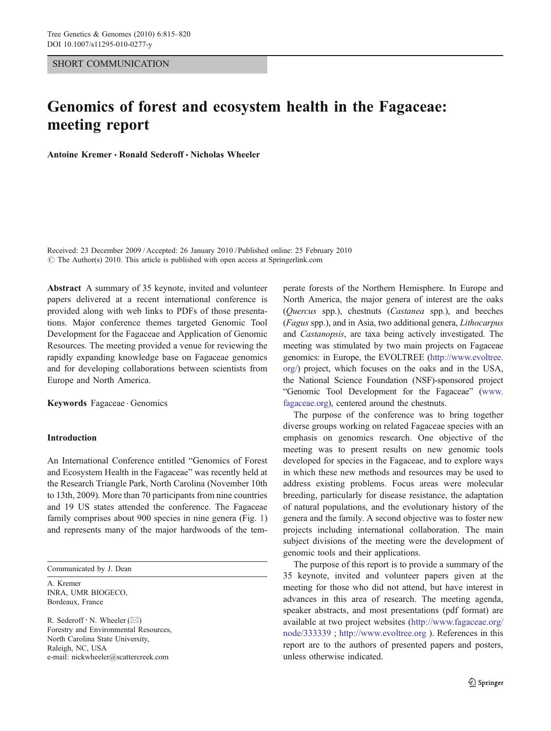## SHORT COMMUNICATION

# Genomics of forest and ecosystem health in the Fagaceae: meeting report

Antoine Kremer • Ronald Sederoff • Nicholas Wheeler

Received: 23 December 2009 / Accepted: 26 January 2010 / Published online: 25 February 2010  $\odot$  The Author(s) 2010. This article is published with open access at Springerlink.com

Abstract A summary of 35 keynote, invited and volunteer papers delivered at a recent international conference is provided along with web links to PDFs of those presentations. Major conference themes targeted Genomic Tool Development for the Fagaceae and Application of Genomic Resources. The meeting provided a venue for reviewing the rapidly expanding knowledge base on Fagaceae genomics and for developing collaborations between scientists from Europe and North America.

Keywords Fagaceae . Genomics

# Introduction

An International Conference entitled "Genomics of Forest and Ecosystem Health in the Fagaceae" was recently held at the Research Triangle Park, North Carolina (November 10th to 13th, 2009). More than 70 participants from nine countries and 19 US states attended the conference. The Fagaceae family comprises about 900 species in nine genera (Fig. [1\)](#page-1-0) and represents many of the major hardwoods of the tem-

Communicated by J. Dean

A. Kremer INRA, UMR BIOGECO, Bordeaux, France

R. Sederoff  $\cdot$  N. Wheeler ( $\boxtimes$ ) Forestry and Environmental Resources, North Carolina State University, Raleigh, NC, USA e-mail: nickwheeler@scattercreek.com

perate forests of the Northern Hemisphere. In Europe and North America, the major genera of interest are the oaks (Quercus spp.), chestnuts (Castanea spp.), and beeches (Fagus spp.), and in Asia, two additional genera, Lithocarpus and Castanopsis, are taxa being actively investigated. The meeting was stimulated by two main projects on Fagaceae genomics: in Europe, the EVOLTREE [\(http://www.evoltree.](http://www.evoltree.org/) [org/\)](http://www.evoltree.org/) project, which focuses on the oaks and in the USA, the National Science Foundation (NSF)-sponsored project "Genomic Tool Development for the Fagaceae" [\(www.](http://www.fagaceae.org) [fagaceae.org\)](http://www.fagaceae.org), centered around the chestnuts.

The purpose of the conference was to bring together diverse groups working on related Fagaceae species with an emphasis on genomics research. One objective of the meeting was to present results on new genomic tools developed for species in the Fagaceae, and to explore ways in which these new methods and resources may be used to address existing problems. Focus areas were molecular breeding, particularly for disease resistance, the adaptation of natural populations, and the evolutionary history of the genera and the family. A second objective was to foster new projects including international collaboration. The main subject divisions of the meeting were the development of genomic tools and their applications.

The purpose of this report is to provide a summary of the 35 keynote, invited and volunteer papers given at the meeting for those who did not attend, but have interest in advances in this area of research. The meeting agenda, speaker abstracts, and most presentations (pdf format) are available at two project websites ([http://www.fagaceae.org/](http://www.fagaceae.org/node/333339) [node/333339](http://www.fagaceae.org/node/333339) ; <http://www.evoltree.org> ). References in this report are to the authors of presented papers and posters, unless otherwise indicated.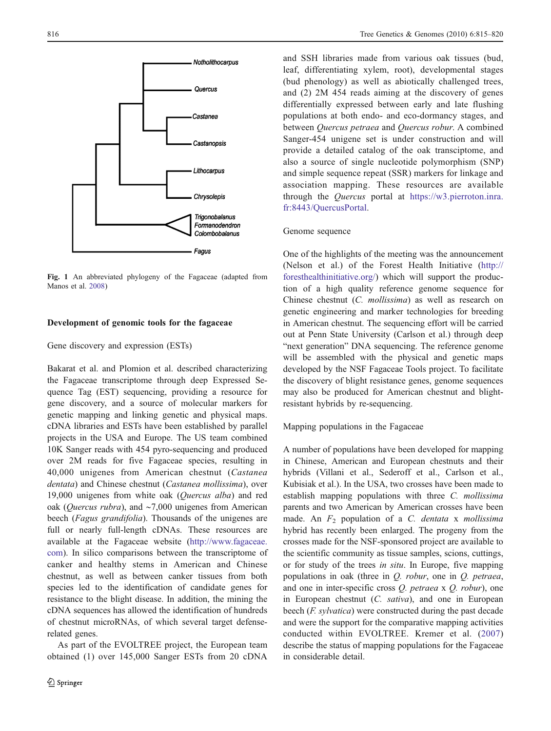<span id="page-1-0"></span>

Fig. 1 An abbreviated phylogeny of the Fagaceae (adapted from Manos et al. [2008](#page-5-0))

#### Development of genomic tools for the fagaceae

Gene discovery and expression (ESTs)

Bakarat et al. and Plomion et al. described characterizing the Fagaceae transcriptome through deep Expressed Sequence Tag (EST) sequencing, providing a resource for gene discovery, and a source of molecular markers for genetic mapping and linking genetic and physical maps. cDNA libraries and ESTs have been established by parallel projects in the USA and Europe. The US team combined 10K Sanger reads with 454 pyro-sequencing and produced over 2M reads for five Fagaceae species, resulting in 40,000 unigenes from American chestnut (Castanea dentata) and Chinese chestnut (Castanea mollissima), over 19,000 unigenes from white oak (Quercus alba) and red oak (Quercus rubra), and ∼7,000 unigenes from American beech (*Fagus grandifolia*). Thousands of the unigenes are full or nearly full-length cDNAs. These resources are available at the Fagaceae website [\(http://www.fagaceae.](http://www.fagaceae.com) [com](http://www.fagaceae.com)). In silico comparisons between the transcriptome of canker and healthy stems in American and Chinese chestnut, as well as between canker tissues from both species led to the identification of candidate genes for resistance to the blight disease. In addition, the mining the cDNA sequences has allowed the identification of hundreds of chestnut microRNAs, of which several target defenserelated genes.

As part of the EVOLTREE project, the European team obtained (1) over 145,000 Sanger ESTs from 20 cDNA

and SSH libraries made from various oak tissues (bud, leaf, differentiating xylem, root), developmental stages (bud phenology) as well as abiotically challenged trees, and (2) 2M 454 reads aiming at the discovery of genes differentially expressed between early and late flushing populations at both endo- and eco-dormancy stages, and between Quercus petraea and Quercus robur. A combined Sanger-454 unigene set is under construction and will provide a detailed catalog of the oak transciptome, and also a source of single nucleotide polymorphism (SNP) and simple sequence repeat (SSR) markers for linkage and association mapping. These resources are available through the Quercus portal at [https://w3.pierroton.inra.](https://w3.pierroton.inra.fr:8443/QuercusPortal) [fr:8443/QuercusPortal.](https://w3.pierroton.inra.fr:8443/QuercusPortal)

## Genome sequence

One of the highlights of the meeting was the announcement (Nelson et al.) of the Forest Health Initiative [\(http://](http://foresthealthinitiative.org/) [foresthealthinitiative.org/\)](http://foresthealthinitiative.org/) which will support the production of a high quality reference genome sequence for Chinese chestnut (C. mollissima) as well as research on genetic engineering and marker technologies for breeding in American chestnut. The sequencing effort will be carried out at Penn State University (Carlson et al.) through deep "next generation" DNA sequencing. The reference genome will be assembled with the physical and genetic maps developed by the NSF Fagaceae Tools project. To facilitate the discovery of blight resistance genes, genome sequences may also be produced for American chestnut and blightresistant hybrids by re-sequencing.

Mapping populations in the Fagaceae

A number of populations have been developed for mapping in Chinese, American and European chestnuts and their hybrids (Villani et al., Sederoff et al., Carlson et al., Kubisiak et al.). In the USA, two crosses have been made to establish mapping populations with three C. mollissima parents and two American by American crosses have been made. An  $F_2$  population of a C. dentata x mollissima hybrid has recently been enlarged. The progeny from the crosses made for the NSF-sponsored project are available to the scientific community as tissue samples, scions, cuttings, or for study of the trees in situ. In Europe, five mapping populations in oak (three in  $Q$ . *robur*, one in  $Q$ . *petraea*, and one in inter-specific cross  $Q$ . petraea x  $Q$ . robur), one in European chestnut (C. sativa), and one in European beech (F. sylvatica) were constructed during the past decade and were the support for the comparative mapping activities conducted within EVOLTREE. Kremer et al. [\(2007](#page-5-0)) describe the status of mapping populations for the Fagaceae in considerable detail.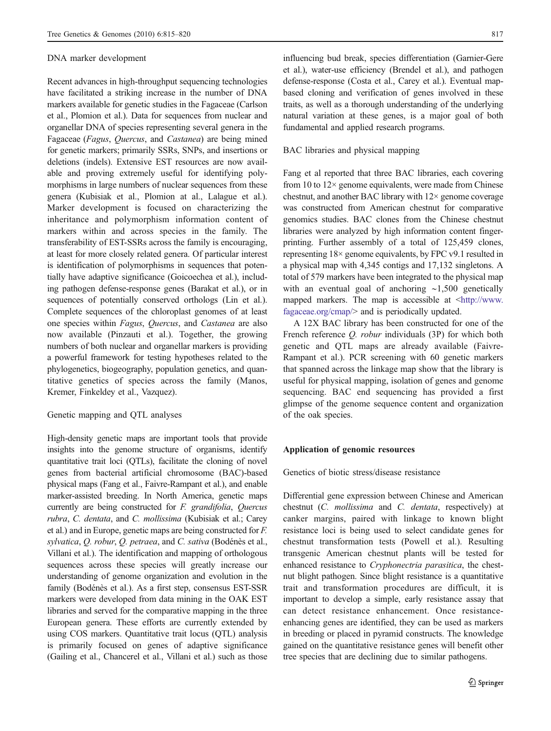#### DNA marker development

Recent advances in high-throughput sequencing technologies have facilitated a striking increase in the number of DNA markers available for genetic studies in the Fagaceae (Carlson et al., Plomion et al.). Data for sequences from nuclear and organellar DNA of species representing several genera in the Fagaceae (Fagus, Quercus, and Castanea) are being mined for genetic markers; primarily SSRs, SNPs, and insertions or deletions (indels). Extensive EST resources are now available and proving extremely useful for identifying polymorphisms in large numbers of nuclear sequences from these genera (Kubisiak et al., Plomion at al., Lalague et al.). Marker development is focused on characterizing the inheritance and polymorphism information content of markers within and across species in the family. The transferability of EST-SSRs across the family is encouraging, at least for more closely related genera. Of particular interest is identification of polymorphisms in sequences that potentially have adaptive significance (Goicoechea et al.), including pathogen defense-response genes (Barakat et al.), or in sequences of potentially conserved orthologs (Lin et al.). Complete sequences of the chloroplast genomes of at least one species within Fagus, Quercus, and Castanea are also now available (Pinzauti et al.). Together, the growing numbers of both nuclear and organellar markers is providing a powerful framework for testing hypotheses related to the phylogenetics, biogeography, population genetics, and quantitative genetics of species across the family (Manos, Kremer, Finkeldey et al., Vazquez).

# Genetic mapping and QTL analyses

High-density genetic maps are important tools that provide insights into the genome structure of organisms, identify quantitative trait loci (QTLs), facilitate the cloning of novel genes from bacterial artificial chromosome (BAC)-based physical maps (Fang et al., Faivre-Rampant et al.), and enable marker-assisted breeding. In North America, genetic maps currently are being constructed for F. grandifolia, Quercus rubra, C. dentata, and C. mollissima (Kubisiak et al.; Carey et al.) and in Europe, genetic maps are being constructed for F. sylvatica, Q. robur, Q. petraea, and C. sativa (Bodénès et al., Villani et al.). The identification and mapping of orthologous sequences across these species will greatly increase our understanding of genome organization and evolution in the family (Bodénès et al.). As a first step, consensus EST-SSR markers were developed from data mining in the OAK EST libraries and served for the comparative mapping in the three European genera. These efforts are currently extended by using COS markers. Quantitative trait locus (QTL) analysis is primarily focused on genes of adaptive significance (Gailing et al., Chancerel et al., Villani et al.) such as those

influencing bud break, species differentiation (Garnier-Gere et al.), water-use efficiency (Brendel et al.), and pathogen defense-response (Costa et al., Carey et al.). Eventual mapbased cloning and verification of genes involved in these traits, as well as a thorough understanding of the underlying natural variation at these genes, is a major goal of both fundamental and applied research programs.

# BAC libraries and physical mapping

Fang et al reported that three BAC libraries, each covering from 10 to 12× genome equivalents, were made from Chinese chestnut, and another BAC library with 12× genome coverage was constructed from American chestnut for comparative genomics studies. BAC clones from the Chinese chestnut libraries were analyzed by high information content fingerprinting. Further assembly of a total of 125,459 clones, representing 18× genome equivalents, by FPC v9.1 resulted in a physical map with 4,345 contigs and 17,132 singletons. A total of 579 markers have been integrated to the physical map with an eventual goal of anchoring ∼1,500 genetically mapped markers. The map is accessible at [<http://www.](http://www.fagaceae.org/cmap/) [fagaceae.org/cmap/](http://www.fagaceae.org/cmap/)> and is periodically updated.

A 12X BAC library has been constructed for one of the French reference Q. robur individuals (3P) for which both genetic and QTL maps are already available (Faivre-Rampant et al.). PCR screening with 60 genetic markers that spanned across the linkage map show that the library is useful for physical mapping, isolation of genes and genome sequencing. BAC end sequencing has provided a first glimpse of the genome sequence content and organization of the oak species.

#### Application of genomic resources

Genetics of biotic stress/disease resistance

Differential gene expression between Chinese and American chestnut (C. mollissima and C. dentata, respectively) at canker margins, paired with linkage to known blight resistance loci is being used to select candidate genes for chestnut transformation tests (Powell et al.). Resulting transgenic American chestnut plants will be tested for enhanced resistance to Cryphonectria parasitica, the chestnut blight pathogen. Since blight resistance is a quantitative trait and transformation procedures are difficult, it is important to develop a simple, early resistance assay that can detect resistance enhancement. Once resistanceenhancing genes are identified, they can be used as markers in breeding or placed in pyramid constructs. The knowledge gained on the quantitative resistance genes will benefit other tree species that are declining due to similar pathogens.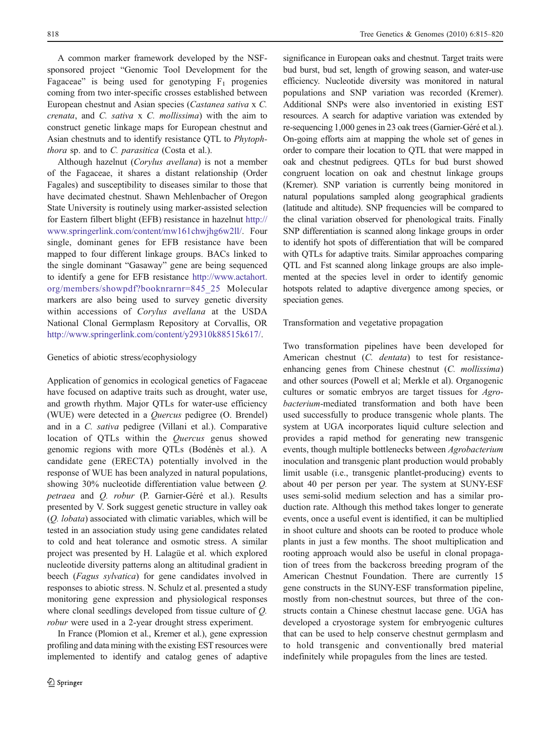A common marker framework developed by the NSFsponsored project "Genomic Tool Development for the Fagaceae" is being used for genotyping  $F_1$  progenies coming from two inter-specific crosses established between European chestnut and Asian species (Castanea sativa x C. crenata, and C. sativa x C. mollissima) with the aim to construct genetic linkage maps for European chestnut and Asian chestnuts and to identify resistance QTL to Phytophthora sp. and to C. parasitica (Costa et al.).

Although hazelnut (Corylus avellana) is not a member of the Fagaceae, it shares a distant relationship (Order Fagales) and susceptibility to diseases similar to those that have decimated chestnut. Shawn Mehlenbacher of Oregon State University is routinely using marker-assisted selection for Eastern filbert blight (EFB) resistance in hazelnut [http://](http://www.springerlink.com/content/mw161chwjhg6w2ll/) [www.springerlink.com/content/mw161chwjhg6w2ll/.](http://www.springerlink.com/content/mw161chwjhg6w2ll/) Four single, dominant genes for EFB resistance have been mapped to four different linkage groups. BACs linked to the single dominant "Gasaway" gene are being sequenced to identify a gene for EFB resistance [http://www.actahort.](http://www.actahort.org/members/showpdf?booknrarnr=845_25) [org/members/showpdf?booknrarnr=845\\_25](http://www.actahort.org/members/showpdf?booknrarnr=845_25) Molecular markers are also being used to survey genetic diversity within accessions of Corylus avellana at the USDA National Clonal Germplasm Repository at Corvallis, OR <http://www.springerlink.com/content/y29310k88515k617/>.

## Genetics of abiotic stress/ecophysiology

Application of genomics in ecological genetics of Fagaceae have focused on adaptive traits such as drought, water use, and growth rhythm. Major QTLs for water-use efficiency (WUE) were detected in a Quercus pedigree (O. Brendel) and in a C. sativa pedigree (Villani et al.). Comparative location of QTLs within the Quercus genus showed genomic regions with more QTLs (Bodénès et al.). A candidate gene (ERECTA) potentially involved in the response of WUE has been analyzed in natural populations, showing 30% nucleotide differentiation value between Q. petraea and Q. robur (P. Garnier-Géré et al.). Results presented by V. Sork suggest genetic structure in valley oak (Q. lobata) associated with climatic variables, which will be tested in an association study using gene candidates related to cold and heat tolerance and osmotic stress. A similar project was presented by H. Lalagüe et al. which explored nucleotide diversity patterns along an altitudinal gradient in beech (Fagus sylvatica) for gene candidates involved in responses to abiotic stress. N. Schulz et al. presented a study monitoring gene expression and physiological responses where clonal seedlings developed from tissue culture of Q. robur were used in a 2-year drought stress experiment.

In France (Plomion et al., Kremer et al.), gene expression profiling and data mining with the existing EST resources were implemented to identify and catalog genes of adaptive

significance in European oaks and chestnut. Target traits were bud burst, bud set, length of growing season, and water-use efficiency. Nucleotide diversity was monitored in natural populations and SNP variation was recorded (Kremer). Additional SNPs were also inventoried in existing EST resources. A search for adaptive variation was extended by re-sequencing 1,000 genes in 23 oak trees (Garnier-Géré et al.). On-going efforts aim at mapping the whole set of genes in order to compare their location to QTL that were mapped in oak and chestnut pedigrees. QTLs for bud burst showed congruent location on oak and chestnut linkage groups (Kremer). SNP variation is currently being monitored in natural populations sampled along geographical gradients (latitude and altitude). SNP frequencies will be compared to the clinal variation observed for phenological traits. Finally SNP differentiation is scanned along linkage groups in order to identify hot spots of differentiation that will be compared with QTLs for adaptive traits. Similar approaches comparing QTL and Fst scanned along linkage groups are also implemented at the species level in order to identify genomic hotspots related to adaptive divergence among species, or speciation genes.

#### Transformation and vegetative propagation

Two transformation pipelines have been developed for American chestnut (C. dentata) to test for resistanceenhancing genes from Chinese chestnut (C. mollissima) and other sources (Powell et al; Merkle et al). Organogenic cultures or somatic embryos are target tissues for Agrobacterium-mediated transformation and both have been used successfully to produce transgenic whole plants. The system at UGA incorporates liquid culture selection and provides a rapid method for generating new transgenic events, though multiple bottlenecks between Agrobacterium inoculation and transgenic plant production would probably limit usable (i.e., transgenic plantlet-producing) events to about 40 per person per year. The system at SUNY-ESF uses semi-solid medium selection and has a similar production rate. Although this method takes longer to generate events, once a useful event is identified, it can be multiplied in shoot culture and shoots can be rooted to produce whole plants in just a few months. The shoot multiplication and rooting approach would also be useful in clonal propagation of trees from the backcross breeding program of the American Chestnut Foundation. There are currently 15 gene constructs in the SUNY-ESF transformation pipeline, mostly from non-chestnut sources, but three of the constructs contain a Chinese chestnut laccase gene. UGA has developed a cryostorage system for embryogenic cultures that can be used to help conserve chestnut germplasm and to hold transgenic and conventionally bred material indefinitely while propagules from the lines are tested.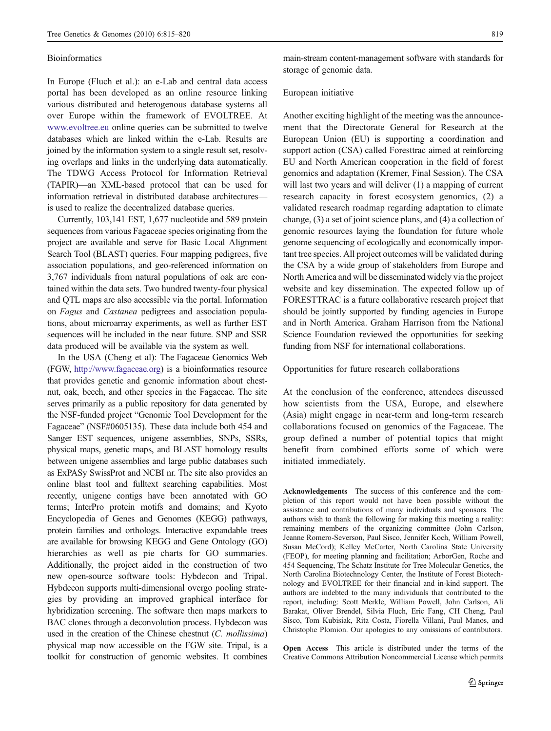#### **Bioinformatics**

In Europe (Fluch et al.): an e-Lab and central data access portal has been developed as an online resource linking various distributed and heterogenous database systems all over Europe within the framework of EVOLTREE. At [www.evoltree.eu](http://www.evoltree.eu) online queries can be submitted to twelve databases which are linked within the e-Lab. Results are joined by the information system to a single result set, resolving overlaps and links in the underlying data automatically. The TDWG Access Protocol for Information Retrieval (TAPIR)—an XML-based protocol that can be used for information retrieval in distributed database architectures is used to realize the decentralized database queries.

Currently, 103,141 EST, 1,677 nucleotide and 589 protein sequences from various Fagaceae species originating from the project are available and serve for Basic Local Alignment Search Tool (BLAST) queries. Four mapping pedigrees, five association populations, and geo-referenced information on 3,767 individuals from natural populations of oak are contained within the data sets. Two hundred twenty-four physical and QTL maps are also accessible via the portal. Information on Fagus and Castanea pedigrees and association populations, about microarray experiments, as well as further EST sequences will be included in the near future. SNP and SSR data produced will be available via the system as well.

In the USA (Cheng et al): The Fagaceae Genomics Web (FGW, [http://www.fagaceae.org\)](http://www.fagaceae.org) is a bioinformatics resource that provides genetic and genomic information about chestnut, oak, beech, and other species in the Fagaceae. The site serves primarily as a public repository for data generated by the NSF-funded project "Genomic Tool Development for the Fagaceae" (NSF#0605135). These data include both 454 and Sanger EST sequences, unigene assemblies, SNPs, SSRs, physical maps, genetic maps, and BLAST homology results between unigene assemblies and large public databases such as ExPASy SwissProt and NCBI nr. The site also provides an online blast tool and fulltext searching capabilities. Most recently, unigene contigs have been annotated with GO terms; InterPro protein motifs and domains; and Kyoto Encyclopedia of Genes and Genomes (KEGG) pathways, protein families and orthologs. Interactive expandable trees are available for browsing KEGG and Gene Ontology (GO) hierarchies as well as pie charts for GO summaries. Additionally, the project aided in the construction of two new open-source software tools: Hybdecon and Tripal. Hybdecon supports multi-dimensional overgo pooling strategies by providing an improved graphical interface for hybridization screening. The software then maps markers to BAC clones through a deconvolution process. Hybdecon was used in the creation of the Chinese chestnut (C. mollissima) physical map now accessible on the FGW site. Tripal, is a toolkit for construction of genomic websites. It combines

main-stream content-management software with standards for storage of genomic data.

#### European initiative

Another exciting highlight of the meeting was the announcement that the Directorate General for Research at the European Union (EU) is supporting a coordination and support action (CSA) called Foresttrac aimed at reinforcing EU and North American cooperation in the field of forest genomics and adaptation (Kremer, Final Session). The CSA will last two years and will deliver (1) a mapping of current research capacity in forest ecosystem genomics, (2) a validated research roadmap regarding adaptation to climate change, (3) a set of joint science plans, and (4) a collection of genomic resources laying the foundation for future whole genome sequencing of ecologically and economically important tree species. All project outcomes will be validated during the CSA by a wide group of stakeholders from Europe and North America and will be disseminated widely via the project website and key dissemination. The expected follow up of FORESTTRAC is a future collaborative research project that should be jointly supported by funding agencies in Europe and in North America. Graham Harrison from the National Science Foundation reviewed the opportunities for seeking funding from NSF for international collaborations.

### Opportunities for future research collaborations

At the conclusion of the conference, attendees discussed how scientists from the USA, Europe, and elsewhere (Asia) might engage in near-term and long-term research collaborations focused on genomics of the Fagaceae. The group defined a number of potential topics that might benefit from combined efforts some of which were initiated immediately.

Acknowledgements The success of this conference and the completion of this report would not have been possible without the assistance and contributions of many individuals and sponsors. The authors wish to thank the following for making this meeting a reality: remaining members of the organizing committee (John Carlson, Jeanne Romero-Severson, Paul Sisco, Jennifer Koch, William Powell, Susan McCord); Kelley McCarter, North Carolina State University (FEOP), for meeting planning and facilitation; ArborGen, Roche and 454 Sequencing, The Schatz Institute for Tree Molecular Genetics, the North Carolina Biotechnology Center, the Institute of Forest Biotechnology and EVOLTREE for their financial and in-kind support. The authors are indebted to the many individuals that contributed to the report, including: Scott Merkle, William Powell, John Carlson, Ali Barakat, Oliver Brendel, Silvia Fluch, Eric Fang, CH Cheng, Paul Sisco, Tom Kubisiak, Rita Costa, Fiorella Villani, Paul Manos, and Christophe Plomion. Our apologies to any omissions of contributors.

Open Access This article is distributed under the terms of the Creative Commons Attribution Noncommercial License which permits